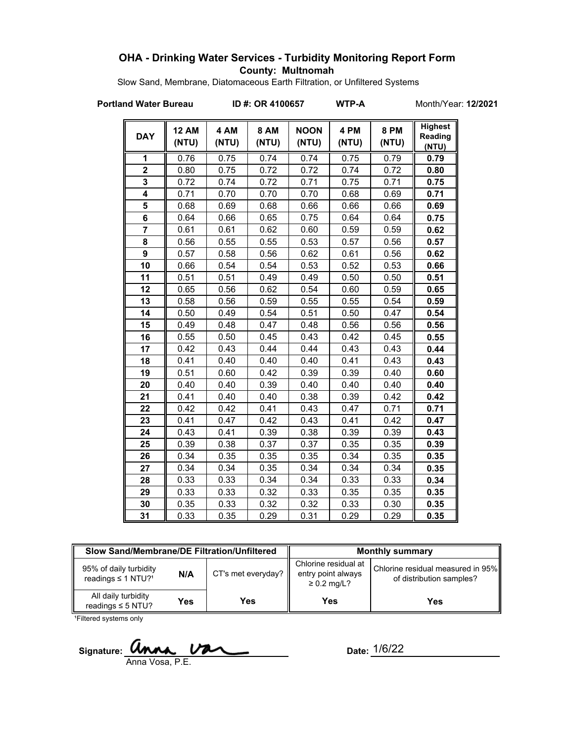# **OHA - Drinking Water Services - Turbidity Monitoring Report Form County: Multnomah**

Slow Sand, Membrane, Diatomaceous Earth Filtration, or Unfiltered Systems

**Portland Water Bureau ID #: OR 4100657 WTP-A** Month/Year: 12/2021

| <b>DAY</b>     | <b>12 AM</b><br>(NTU) | 4 AM<br>(NTU) | <b>8 AM</b><br>(NTU) | <b>NOON</b><br>(NTU) | 4 PM<br>(NTU) | 8 PM<br>(NTU) | <b>Highest</b><br>Reading<br>(NTU) |
|----------------|-----------------------|---------------|----------------------|----------------------|---------------|---------------|------------------------------------|
| 1              | 0.76                  | 0.75          | 0.74                 | 0.74                 | 0.75          | 0.79          | 0.79                               |
| $\overline{2}$ | 0.80                  | 0.75          | 0.72                 | 0.72                 | 0.74          | 0.72          | 0.80                               |
| 3              | 0.72                  | 0.74          | 0.72                 | 0.71                 | 0.75          | 0.71          | 0.75                               |
| 4              | 0.71                  | 0.70          | 0.70                 | 0.70                 | 0.68          | 0.69          | 0.71                               |
| 5              | 0.68                  | 0.69          | 0.68                 | 0.66                 | 0.66          | 0.66          | 0.69                               |
| 6              | 0.64                  | 0.66          | 0.65                 | 0.75                 | 0.64          | 0.64          | 0.75                               |
| $\overline{7}$ | 0.61                  | 0.61          | 0.62                 | 0.60                 | 0.59          | 0.59          | 0.62                               |
| 8              | 0.56                  | 0.55          | 0.55                 | 0.53                 | 0.57          | 0.56          | 0.57                               |
| 9              | 0.57                  | 0.58          | 0.56                 | 0.62                 | 0.61          | 0.56          | 0.62                               |
| 10             | 0.66                  | 0.54          | 0.54                 | 0.53                 | 0.52          | 0.53          | 0.66                               |
| 11             | 0.51                  | 0.51          | 0.49                 | 0.49                 | 0.50          | 0.50          | 0.51                               |
| 12             | 0.65                  | 0.56          | 0.62                 | 0.54                 | 0.60          | 0.59          | 0.65                               |
| 13             | 0.58                  | 0.56          | 0.59                 | 0.55                 | 0.55          | 0.54          | 0.59                               |
| 14             | 0.50                  | 0.49          | 0.54                 | 0.51                 | 0.50          | 0.47          | 0.54                               |
| 15             | 0.49                  | 0.48          | 0.47                 | 0.48                 | 0.56          | 0.56          | 0.56                               |
| 16             | 0.55                  | 0.50          | 0.45                 | 0.43                 | 0.42          | 0.45          | 0.55                               |
| 17             | 0.42                  | 0.43          | 0.44                 | 0.44                 | 0.43          | 0.43          | 0.44                               |
| 18             | 0.41                  | 0.40          | 0.40                 | 0.40                 | 0.41          | 0.43          | 0.43                               |
| 19             | 0.51                  | 0.60          | 0.42                 | 0.39                 | 0.39          | 0.40          | 0.60                               |
| 20             | 0.40                  | 0.40          | 0.39                 | 0.40                 | 0.40          | 0.40          | 0.40                               |
| 21             | 0.41                  | 0.40          | 0.40                 | 0.38                 | 0.39          | 0.42          | 0.42                               |
| 22             | 0.42                  | 0.42          | 0.41                 | 0.43                 | 0.47          | 0.71          | 0.71                               |
| 23             | 0.41                  | 0.47          | 0.42                 | 0.43                 | 0.41          | 0.42          | 0.47                               |
| 24             | 0.43                  | 0.41          | 0.39                 | 0.38                 | 0.39          | 0.39          | 0.43                               |
| 25             | 0.39                  | 0.38          | 0.37                 | 0.37                 | 0.35          | 0.35          | 0.39                               |
| 26             | 0.34                  | 0.35          | 0.35                 | 0.35                 | 0.34          | 0.35          | 0.35                               |
| 27             | 0.34                  | 0.34          | 0.35                 | 0.34                 | 0.34          | 0.34          | 0.35                               |
| 28             | 0.33                  | 0.33          | 0.34                 | 0.34                 | 0.33          | 0.33          | 0.34                               |
| 29             | 0.33                  | 0.33          | 0.32                 | 0.33                 | 0.35          | 0.35          | 0.35                               |
| 30             | 0.35                  | 0.33          | 0.32                 | 0.32                 | 0.33          | 0.30          | 0.35                               |
| 31             | 0.33                  | 0.35          | 0.29                 | 0.31                 | 0.29          | 0.29          | 0.35                               |

| Slow Sand/Membrane/DE Filtration/Unfiltered                          |     |                    | <b>Monthly summary</b>                                         |                                                               |  |
|----------------------------------------------------------------------|-----|--------------------|----------------------------------------------------------------|---------------------------------------------------------------|--|
| 95% of daily turbidity<br>N/A<br>readings $\leq$ 1 NTU? <sup>1</sup> |     | CT's met everyday? | Chlorine residual at<br>entry point always<br>$\geq 0.2$ mg/L? | Chlorine residual measured in 95%<br>of distribution samples? |  |
| All daily turbidity<br>readings $\leq$ 5 NTU?                        | Yes | Yes                | <b>Yes</b>                                                     | Yes                                                           |  |

<sup>1</sup>Filtered systems only

Signature: *anna van* Anna Vosa, P.E.

Date: 1/6/22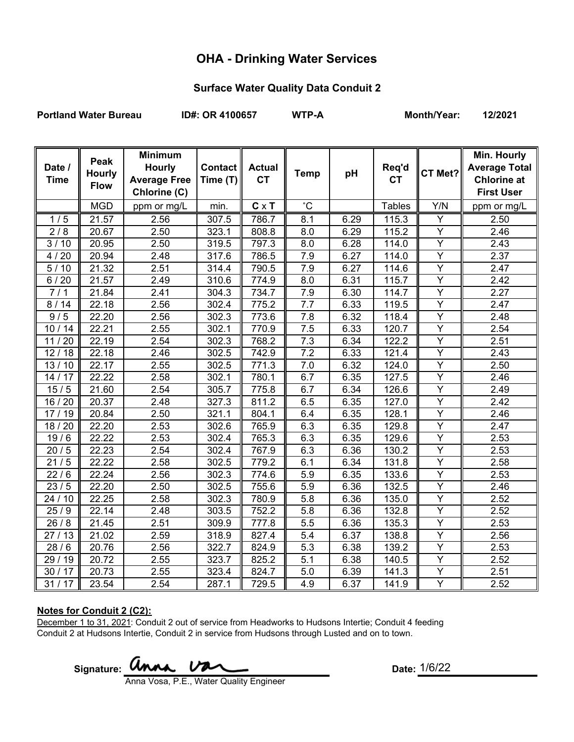# **OHA - Drinking Water Services**

## **Surface Water Quality Data Conduit 2**

Portland Water Bureau **ID#: OR 4100657** WTP-A Month/Year: 12/2021

| Date /<br><b>Time</b> | Peak<br><b>Hourly</b><br><b>Flow</b> | <b>Minimum</b><br><b>Hourly</b><br><b>Average Free</b><br>Chlorine (C) | <b>Contact</b><br>Time (T) | <b>Actual</b><br><b>CT</b> | <b>Temp</b>      | pH   | Req'd<br><b>CT</b> | CT Met?                 | Min. Hourly<br><b>Average Total</b><br><b>Chlorine at</b><br><b>First User</b> |
|-----------------------|--------------------------------------|------------------------------------------------------------------------|----------------------------|----------------------------|------------------|------|--------------------|-------------------------|--------------------------------------------------------------------------------|
|                       | <b>MGD</b>                           | ppm or mg/L                                                            | min.                       | $C \times T$               | $^{\circ}C$      |      | <b>Tables</b>      | Y/N                     | ppm or mg/L                                                                    |
| 1/5                   | 21.57                                | 2.56                                                                   | 307.5                      | 786.7                      | 8.1              | 6.29 | 115.3              | Υ                       | 2.50                                                                           |
| 2/8                   | 20.67                                | 2.50                                                                   | 323.1                      | 808.8                      | 8.0              | 6.29 | 115.2              | $\overline{Y}$          | 2.46                                                                           |
| 3/10                  | 20.95                                | 2.50                                                                   | 319.5                      | 797.3                      | 8.0              | 6.28 | 114.0              | Y                       | 2.43                                                                           |
| 20<br>4/              | 20.94                                | 2.48                                                                   | 317.6                      | 786.5                      | 7.9              | 6.27 | 114.0              | $\overline{\mathsf{Y}}$ | 2.37                                                                           |
| 5/<br>10              | 21.32                                | 2.51                                                                   | 314.4                      | 790.5                      | 7.9              | 6.27 | 114.6              | Y                       | 2.47                                                                           |
| 6/20                  | 21.57                                | 2.49                                                                   | 310.6                      | 774.9                      | 8.0              | 6.31 | 115.7              | Υ                       | 2.42                                                                           |
| 7/1                   | 21.84                                | 2.41                                                                   | 304.3                      | 734.7                      | 7.9              | 6.30 | 114.7              | $\overline{Y}$          | 2.27                                                                           |
| 8/14                  | 22.18                                | 2.56                                                                   | 302.4                      | 775.2                      | 7.7              | 6.33 | 119.5              | Y                       | 2.47                                                                           |
| 9/5                   | $\overline{2}$ 2.20                  | 2.56                                                                   | 302.3                      | 773.6                      | 7.8              | 6.32 | 118.4              | $\overline{Y}$          | 2.48                                                                           |
| 10/14                 | 22.21                                | 2.55                                                                   | 302.1                      | 770.9                      | 7.5              | 6.33 | 120.7              | $\overline{Y}$          | 2.54                                                                           |
| 11/20                 | $\overline{2}$ 2.19                  | 2.54                                                                   | 302.3                      | 768.2                      | $\overline{7.3}$ | 6.34 | 122.2              | $\overline{Y}$          | 2.51                                                                           |
| 12/18                 | 22.18                                | 2.46                                                                   | 302.5                      | 742.9                      | $\overline{7.2}$ | 6.33 | 121.4              | $\overline{Y}$          | 2.43                                                                           |
| 13/10                 | 22.17                                | 2.55                                                                   | 302.5                      | 771.3                      | 7.0              | 6.32 | 124.0              | Y                       | 2.50                                                                           |
| 14/17                 | 22.22                                | 2.58                                                                   | 302.1                      | 780.1                      | 6.7              | 6.35 | 127.5              | $\overline{Y}$          | 2.46                                                                           |
| 15/5                  | 21.60                                | 2.54                                                                   | 305.7                      | 775.8                      | 6.7              | 6.34 | 126.6              | $\overline{Y}$          | 2.49                                                                           |
| 16 / 20               | 20.37                                | 2.48                                                                   | 327.3                      | 811.2                      | 6.5              | 6.35 | 127.0              | $\overline{Y}$          | 2.42                                                                           |
| 17/19                 | 20.84                                | 2.50                                                                   | 321.1                      | 804.1                      | 6.4              | 6.35 | 128.1              | $\overline{Y}$          | 2.46                                                                           |
| 18 / 20               | 22.20                                | 2.53                                                                   | 302.6                      | 765.9                      | 6.3              | 6.35 | 129.8              | $\overline{Y}$          | 2.47                                                                           |
| 19/6                  | 22.22                                | 2.53                                                                   | 302.4                      | 765.3                      | 6.3              | 6.35 | 129.6              | $\overline{Y}$          | 2.53                                                                           |
| 20/5                  | 22.23                                | 2.54                                                                   | 302.4                      | 767.9                      | 6.3              | 6.36 | 130.2              | $\overline{Y}$          | 2.53                                                                           |
| 21/5                  | 22.22                                | 2.58                                                                   | 302.5                      | 779.2                      | 6.1              | 6.34 | 131.8              | $\overline{Y}$          | 2.58                                                                           |
| 22/6                  | 22.24                                | 2.56                                                                   | 302.3                      | 774.6                      | 5.9              | 6.35 | 133.6              | Y                       | 2.53                                                                           |
| 23/5                  | 22.20                                | 2.50                                                                   | 302.5                      | 755.6                      | 5.9              | 6.36 | 132.5              | $\overline{Y}$          | 2.46                                                                           |
| 24 / 10               | 22.25                                | 2.58                                                                   | 302.3                      | 780.9                      | 5.8              | 6.36 | 135.0              | Y                       | 2.52                                                                           |
| 25/9                  | 22.14                                | 2.48                                                                   | 303.5                      | 752.2                      | 5.8              | 6.36 | 132.8              | Ÿ                       | 2.52                                                                           |
| 26/8                  | 21.45                                | 2.51                                                                   | 309.9                      | 777.8                      | 5.5              | 6.36 | 135.3              | Y                       | 2.53                                                                           |
| 27/13                 | 21.02                                | 2.59                                                                   | 318.9                      | 827.4                      | 5.4              | 6.37 | 138.8              | Y                       | 2.56                                                                           |
| 28/6                  | 20.76                                | 2.56                                                                   | 322.7                      | 824.9                      | 5.3              | 6.38 | 139.2              | $\overline{Y}$          | 2.53                                                                           |
| 29 / 19               | 20.72                                | 2.55                                                                   | 323.7                      | 825.2                      | 5.1              | 6.38 | 140.5              | Y                       | 2.52                                                                           |
| 30/17                 | 20.73                                | 2.55                                                                   | 323.4                      | 824.7                      | 5.0              | 6.39 | 141.3              | Ÿ                       | 2.51                                                                           |
| 31/17                 | 23.54                                | 2.54                                                                   | 287.1                      | 729.5                      | 4.9              | 6.37 | 141.9              | Y                       | 2.52                                                                           |

### **Notes for Conduit 2 (C2):**

December 1 to 31, 2021: Conduit 2 out of service from Headworks to Hudsons Intertie; Conduit 4 feeding Conduit 2 at Hudsons Intertie, Conduit 2 in service from Hudsons through Lusted and on to town.

Signature: **Unna Va** Anna Vosa, P.E., Water Quality Engineer

Date:  $1/6/22$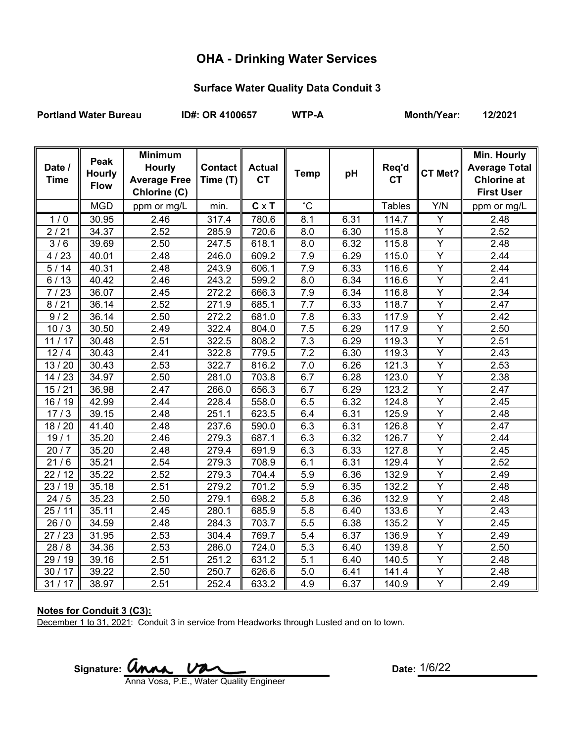# **OHA - Drinking Water Services**

## **Surface Water Quality Data Conduit 3**

Portland Water Bureau **ID#: OR 4100657** WTP-A Month/Year: 12/2021

| Date /<br><b>Time</b> | Peak<br><b>Hourly</b><br><b>Flow</b> | <b>Minimum</b><br><b>Hourly</b><br><b>Average Free</b><br>Chlorine (C) | Contact   <br>Time (T) | <b>Actual</b><br><b>CT</b> | <b>Temp</b>      | pH   | Req'd<br><b>CT</b> | CT Met?        | Min. Hourly<br><b>Average Total</b><br><b>Chlorine at</b><br><b>First User</b> |
|-----------------------|--------------------------------------|------------------------------------------------------------------------|------------------------|----------------------------|------------------|------|--------------------|----------------|--------------------------------------------------------------------------------|
|                       | <b>MGD</b>                           | ppm or mg/L                                                            | min.                   | $C \times T$               | $^{\circ}C$      |      | <b>Tables</b>      | Y/N            | ppm or mg/L                                                                    |
| 1/0                   | 30.95                                | 2.46                                                                   | 317.4                  | 780.6                      | 8.1              | 6.31 | 114.7              | Y              | 2.48                                                                           |
| 2/21                  | 34.37                                | 2.52                                                                   | 285.9                  | 720.6                      | 8.0              | 6.30 | 115.8              | Υ              | 2.52                                                                           |
| 3/6                   | 39.69                                | 2.50                                                                   | 247.5                  | 618.1                      | 8.0              | 6.32 | 115.8              | Y              | 2.48                                                                           |
| 4/23                  | 40.01                                | 2.48                                                                   | 246.0                  | 609.2                      | 7.9              | 6.29 | 115.0              | $\overline{Y}$ | 2.44                                                                           |
| 5/14                  | 40.31                                | 2.48                                                                   | 243.9                  | 606.1                      | 7.9              | 6.33 | 116.6              | Y              | 2.44                                                                           |
| 6/13                  | 40.42                                | 2.46                                                                   | 243.2                  | 599.2                      | 8.0              | 6.34 | 116.6              | Y              | 2.41                                                                           |
| 7/23                  | 36.07                                | 2.45                                                                   | 272.2                  | 666.3                      | 7.9              | 6.34 | 116.8              | Y              | 2.34                                                                           |
| 8/21                  | 36.14                                | 2.52                                                                   | 271.9                  | 685.1                      | 7.7              | 6.33 | 118.7              | $\overline{Y}$ | 2.47                                                                           |
| 9/2                   | 36.14                                | 2.50                                                                   | 272.2                  | 681.0                      | 7.8              | 6.33 | 117.9              | $\overline{Y}$ | 2.42                                                                           |
| 10/3                  | 30.50                                | 2.49                                                                   | 322.4                  | 804.0                      | 7.5              | 6.29 | 117.9              | $\overline{Y}$ | 2.50                                                                           |
| 11/17                 | 30.48                                | 2.51                                                                   | 322.5                  | 808.2                      | $\overline{7.3}$ | 6.29 | 119.3              | $\overline{Y}$ | 2.51                                                                           |
| $12/4$                | 30.43                                | 2.41                                                                   | 322.8                  | 779.5                      | 7.2              | 6.30 | 119.3              | $\overline{Y}$ | 2.43                                                                           |
| 13/20                 | 30.43                                | 2.53                                                                   | 322.7                  | 816.2                      | 7.0              | 6.26 | 121.3              | Y              | 2.53                                                                           |
| 14/23                 | 34.97                                | 2.50                                                                   | 281.0                  | 703.8                      | 6.7              | 6.28 | 123.0              | $\overline{Y}$ | 2.38                                                                           |
| 15/21                 | 36.98                                | 2.47                                                                   | 266.0                  | 656.3                      | 6.7              | 6.29 | 123.2              | $\overline{Y}$ | 2.47                                                                           |
| 16/19                 | 42.99                                | 2.44                                                                   | 228.4                  | 558.0                      | 6.5              | 6.32 | 124.8              | $\overline{Y}$ | 2.45                                                                           |
| 17/3                  | 39.15                                | 2.48                                                                   | 251.1                  | 623.5                      | 6.4              | 6.31 | 125.9              | Y              | 2.48                                                                           |
| 18 / 20               | 41.40                                | 2.48                                                                   | 237.6                  | 590.0                      | 6.3              | 6.31 | 126.8              | $\overline{Y}$ | 2.47                                                                           |
| 19/1                  | 35.20                                | 2.46                                                                   | 279.3                  | 687.1                      | 6.3              | 6.32 | 126.7              | $\overline{Y}$ | 2.44                                                                           |
| 20/7                  | 35.20                                | 2.48                                                                   | 279.4                  | 691.9                      | 6.3              | 6.33 | 127.8              | $\overline{Y}$ | 2.45                                                                           |
| 21/6                  | 35.21                                | 2.54                                                                   | 279.3                  | 708.9                      | 6.1              | 6.31 | 129.4              | $\overline{Y}$ | 2.52                                                                           |
| 22/12                 | 35.22                                | 2.52                                                                   | 279.3                  | 704.4                      | 5.9              | 6.36 | 132.9              | Y              | 2.49                                                                           |
| 23/19                 | 35.18                                | 2.51                                                                   | 279.2                  | 701.2                      | 5.9              | 6.35 | 132.2              | $\overline{Y}$ | 2.48                                                                           |
| 24/5                  | 35.23                                | 2.50                                                                   | 279.1                  | 698.2                      | 5.8              | 6.36 | 132.9              | Y              | 2.48                                                                           |
| 25/11                 | 35.11                                | 2.45                                                                   | 280.1                  | 685.9                      | 5.8              | 6.40 | 133.6              | Y              | 2.43                                                                           |
| 26/0                  | 34.59                                | 2.48                                                                   | 284.3                  | 703.7                      | 5.5              | 6.38 | 135.2              | Y              | 2.45                                                                           |
| 27/23                 | 31.95                                | 2.53                                                                   | 304.4                  | 769.7                      | 5.4              | 6.37 | 136.9              | $\overline{Y}$ | 2.49                                                                           |
| 28/8                  | 34.36                                | 2.53                                                                   | 286.0                  | 724.0                      | 5.3              | 6.40 | 139.8              | Y              | 2.50                                                                           |
| 29 / 19               | 39.16                                | 2.51                                                                   | 251.2                  | 631.2                      | 5.1              | 6.40 | 140.5              | $\overline{Y}$ | 2.48                                                                           |
| 30/17                 | 39.22                                | 2.50                                                                   | 250.7                  | 626.6                      | 5.0              | 6.41 | 141.4              | $\overline{Y}$ | 2.48                                                                           |
| 31/17                 | 38.97                                | 2.51                                                                   | 252.4                  | 633.2                      | 4.9              | 6.37 | 140.9              | $\overline{Y}$ | 2.49                                                                           |

### **Notes for Conduit 3 (C3):**

December 1 to 31, 2021: Conduit 3 in service from Headworks through Lusted and on to town.

Signature: **Unna**  $\nu$ Anna Vosa, P.E., Water Quality Engineer

Date:  $1/6/22$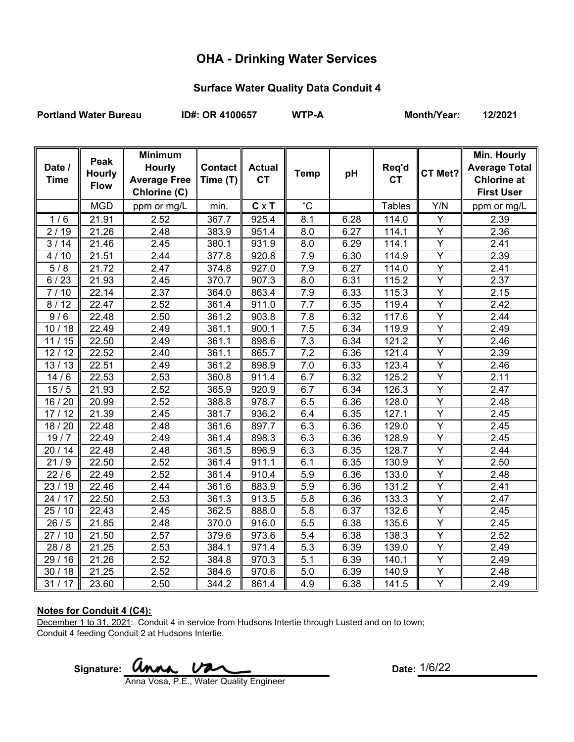# **OHA - Drinking Water Services**

## **Surface Water Quality Data Conduit 4**

Portland Water Bureau **ID#: OR 4100657** WTP-A Month/Year: 12/2021

| Date /<br><b>Time</b> | Peak<br><b>Hourly</b><br><b>Flow</b> | <b>Minimum</b><br><b>Hourly</b><br><b>Average Free</b><br>Chlorine (C) | <b>Contact</b><br>Time (T) | <b>Actual</b><br><b>CT</b> | <b>Temp</b>      | pH   | Req'd<br><b>CT</b> | CT Met?                 | Min. Hourly<br><b>Average Total</b><br><b>Chlorine at</b><br><b>First User</b> |
|-----------------------|--------------------------------------|------------------------------------------------------------------------|----------------------------|----------------------------|------------------|------|--------------------|-------------------------|--------------------------------------------------------------------------------|
|                       | <b>MGD</b>                           | ppm or mg/L                                                            | min.                       | $C \times T$               | $^{\circ}$ C     |      | <b>Tables</b>      | Y/N                     | ppm or mg/L                                                                    |
| 1/6                   | 21.91                                | 2.52                                                                   | 367.7                      | 925.4                      | 8.1              | 6.28 | 114.0              | Y                       | 2.39                                                                           |
| 2/19                  | 21.26                                | 2.48                                                                   | 383.9                      | 951.4                      | 8.0              | 6.27 | 114.1              | Y                       | 2.36                                                                           |
| 3/14                  | 21.46                                | 2.45                                                                   | 380.1                      | 931.9                      | 8.0              | 6.29 | 114.1              | Y                       | 2.41                                                                           |
| 4/10                  | 21.51                                | 2.44                                                                   | 377.8                      | 920.8                      | 7.9              | 6.30 | 114.9              | Ÿ                       | 2.39                                                                           |
| $\overline{5/8}$      | 21.72                                | 2.47                                                                   | 374.8                      | 927.0                      | 7.9              | 6.27 | 114.0              | $\overline{Y}$          | 2.41                                                                           |
| 6/23                  | 21.93                                | 2.45                                                                   | 370.7                      | 907.3                      | 8.0              | 6.31 | 115.2              | Y                       | 2.37                                                                           |
| $\frac{1}{7}$ / 10    | $\overline{22.14}$                   | 2.37                                                                   | 364.0                      | 863.4                      | 7.9              | 6.33 | 115.3              | $\overline{Y}$          | 2.15                                                                           |
| 8/12                  | 22.47                                | 2.52                                                                   | 361.4                      | 911.0                      | 7.7              | 6.35 | 119.4              | $\overline{Y}$          | 2.42                                                                           |
| 9/6                   | 22.48                                | 2.50                                                                   | 361.2                      | 903.8                      | $\overline{7.8}$ | 6.32 | 117.6              | $\overline{Y}$          | 2.44                                                                           |
| 10/18                 | 22.49                                | 2.49                                                                   | 361.1                      | 900.1                      | 7.5              | 6.34 | 119.9              | $\overline{Y}$          | 2.49                                                                           |
| 11/15                 | 22.50                                | 2.49                                                                   | 361.1                      | 898.6                      | 7.3              | 6.34 | 121.2              | $\overline{\mathsf{Y}}$ | 2.46                                                                           |
| 12/12                 | 22.52                                | 2.40                                                                   | 361.1                      | 865.7                      | $7.\overline{2}$ | 6.36 | 121.4              | Y                       | 2.39                                                                           |
| 13/13                 | 22.51                                | 2.49                                                                   | 361.2                      | 898.9                      | 7.0              | 6.33 | 123.4              | $\overline{Y}$          | 2.46                                                                           |
| 14/6                  | 22.53                                | 2.53                                                                   | 360.8                      | 911.4                      | 6.7              | 6.32 | 125.2              | Ÿ                       | 2.11                                                                           |
| 15/5                  | 21.93                                | 2.52                                                                   | 365.9                      | 920.9                      | 6.7              | 6.34 | 126.3              | $\overline{Y}$          | 2.47                                                                           |
| 16 / 20               | 20.99                                | 2.52                                                                   | 388.8                      | 978.7                      | 6.5              | 6.36 | 128.0              | $\overline{Y}$          | 2.48                                                                           |
| 17/12                 | 21.39                                | 2.45                                                                   | 381.7                      | 936.2                      | 6.4              | 6.35 | 127.1              | Y                       | 2.45                                                                           |
| 18 / 20               | 22.48                                | 2.48                                                                   | 361.6                      | 897.7                      | 6.3              | 6.36 | 129.0              | Ÿ                       | 2.45                                                                           |
| 19/7                  | 22.49                                | 2.49                                                                   | 361.4                      | 898.3                      | 6.3              | 6.36 | 128.9              | $\overline{Y}$          | 2.45                                                                           |
| 20/14                 | 22.48                                | 2.48                                                                   | 361.5                      | 896.9                      | 6.3              | 6.35 | 128.7              | $\overline{Y}$          | 2.44                                                                           |
| 21/9                  | 22.50                                | 2.52                                                                   | 361.4                      | 911.1                      | 6.1              | 6.35 | 130.9              | Y                       | 2.50                                                                           |
| 22/6                  | 22.49                                | 2.52                                                                   | 361.4                      | 910.4                      | 5.9              | 6.36 | 133.0              | Y                       | 2.48                                                                           |
| 23/19                 | 22.46                                | 2.44                                                                   | 361.6                      | 883.9                      | 5.9              | 6.36 | 131.2              | $\overline{Y}$          | 2.41                                                                           |
| 24 / 17               | 22.50                                | 2.53                                                                   | 361.3                      | 913.5                      | 5.8              | 6.36 | 133.3              | Y                       | 2.47                                                                           |
| 25/10                 | $\overline{2}$ 2.43                  | 2.45                                                                   | 362.5                      | 888.0                      | 5.8              | 6.37 | 132.6              | Y                       | 2.45                                                                           |
| 26/5                  | 21.85                                | 2.48                                                                   | 370.0                      | 916.0                      | 5.5              | 6.38 | 135.6              | $\overline{Y}$          | 2.45                                                                           |
| 27/10                 | $\overline{2}1.50$                   | 2.57                                                                   | 379.6                      | 973.6                      | 5.4              | 6.38 | 138.3              | $\overline{Y}$          | 2.52                                                                           |
| 28/8                  | 21.25                                | 2.53                                                                   | 384.1                      | 971.4                      | 5.3              | 6.39 | 139.0              | $\overline{Y}$          | 2.49                                                                           |
| 29 / 16               | 21.26                                | 2.52                                                                   | 384.8                      | 970.3                      | 5.1              | 6.39 | 140.1              | Y                       | 2.49                                                                           |
| 30/18                 | 21.25                                | 2.52                                                                   | 384.6                      | 970.6                      | 5.0              | 6.39 | 140.9              | Ÿ                       | 2.48                                                                           |
| 31/17                 | 23.60                                | 2.50                                                                   | 344.2                      | 861.4                      | 4.9              | 6.38 | 141.5              | Y                       | 2.49                                                                           |

### **Notes for Conduit 4 (C4):**

December 1 to 31, 2021: Conduit 4 in service from Hudsons Intertie through Lusted and on to town; Conduit 4 feeding Conduit 2 at Hudsons Intertie.

Signature: *Unna Va* 

Date: 1/6/22

Anna Vosa, P.E., Water Quality Engineer